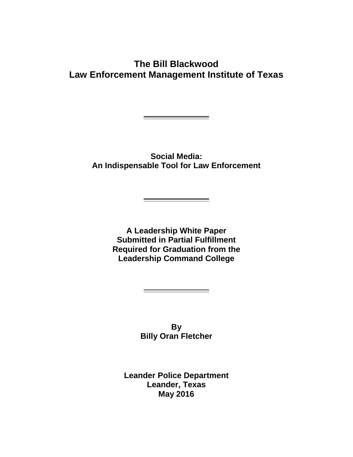## **The Bill Blackwood Law Enforcement Management Institute of Texas**

**\_\_\_\_\_\_\_\_\_\_\_\_\_\_\_\_\_**

**Social Media: An Indispensable Tool for Law Enforcement**

**\_\_\_\_\_\_\_\_\_\_\_\_\_\_\_\_\_**

**A Leadership White Paper Submitted in Partial Fulfillment Required for Graduation from the Leadership Command College**

> **By Billy Oran Fletcher**

**\_\_\_\_\_\_\_\_\_\_\_\_\_\_\_\_\_**

**Leander Police Department Leander, Texas May 2016**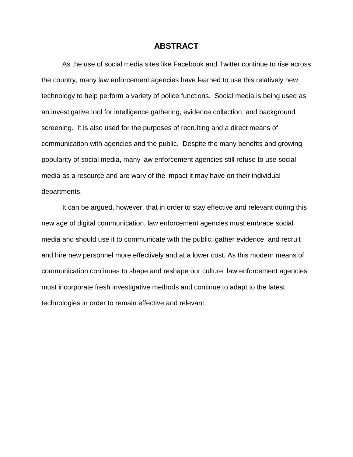#### **ABSTRACT**

As the use of social media sites like Facebook and Twitter continue to rise across the country, many law enforcement agencies have learned to use this relatively new technology to help perform a variety of police functions. Social media is being used as an investigative tool for intelligence gathering, evidence collection, and background screening. It is also used for the purposes of recruiting and a direct means of communication with agencies and the public. Despite the many benefits and growing popularity of social media, many law enforcement agencies still refuse to use social media as a resource and are wary of the impact it may have on their individual departments.

It can be argued, however, that in order to stay effective and relevant during this new age of digital communication, law enforcement agencies must embrace social media and should use it to communicate with the public, gather evidence, and recruit and hire new personnel more effectively and at a lower cost. As this modern means of communication continues to shape and reshape our culture, law enforcement agencies must incorporate fresh investigative methods and continue to adapt to the latest technologies in order to remain effective and relevant.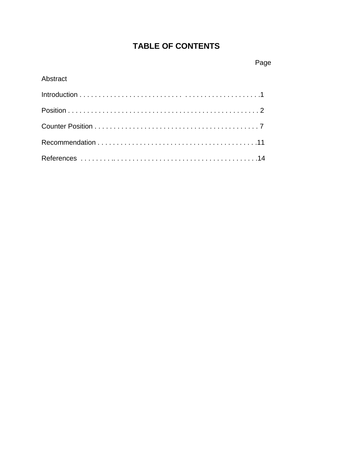# **TABLE OF CONTENTS**

### Abstract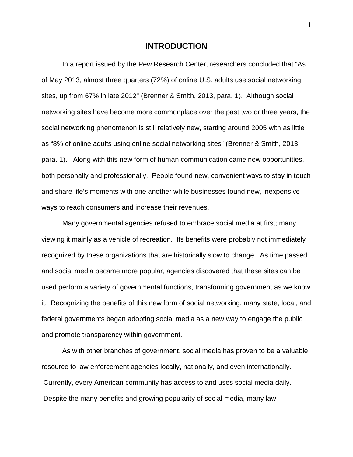#### **INTRODUCTION**

In a report issued by the Pew Research Center, researchers concluded that "As of May 2013, almost three quarters (72%) of online U.S. adults use social networking sites, up from 67% in late 2012" (Brenner & Smith, 2013, para. 1). Although social networking sites have become more commonplace over the past two or three years, the social networking phenomenon is still relatively new, starting around 2005 with as little as "8% of online adults using online social networking sites" (Brenner & Smith, 2013, para. 1). Along with this new form of human communication came new opportunities, both personally and professionally. People found new, convenient ways to stay in touch and share life's moments with one another while businesses found new, inexpensive ways to reach consumers and increase their revenues.

Many governmental agencies refused to embrace social media at first; many viewing it mainly as a vehicle of recreation. Its benefits were probably not immediately recognized by these organizations that are historically slow to change. As time passed and social media became more popular, agencies discovered that these sites can be used perform a variety of governmental functions, transforming government as we know it. Recognizing the benefits of this new form of social networking, many state, local, and federal governments began adopting social media as a new way to engage the public and promote transparency within government.

As with other branches of government, social media has proven to be a valuable resource to law enforcement agencies locally, nationally, and even internationally. Currently, every American community has access to and uses social media daily. Despite the many benefits and growing popularity of social media, many law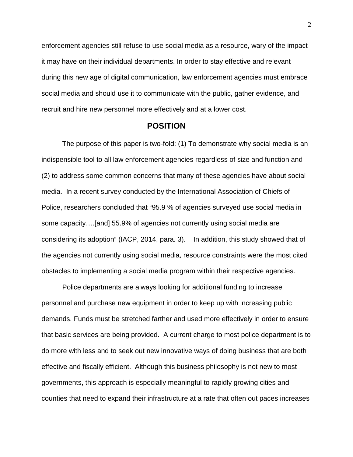enforcement agencies still refuse to use social media as a resource, wary of the impact it may have on their individual departments. In order to stay effective and relevant during this new age of digital communication, law enforcement agencies must embrace social media and should use it to communicate with the public, gather evidence, and recruit and hire new personnel more effectively and at a lower cost.

#### **POSITION**

The purpose of this paper is two-fold: (1) To demonstrate why social media is an indispensible tool to all law enforcement agencies regardless of size and function and (2) to address some common concerns that many of these agencies have about social media. In a recent survey conducted by the International Association of Chiefs of Police, researchers concluded that "95.9 % of agencies surveyed use social media in some capacity….[and] 55.9% of agencies not currently using social media are considering its adoption" (IACP, 2014, para. 3). In addition, this study showed that of the agencies not currently using social media, resource constraints were the most cited obstacles to implementing a social media program within their respective agencies.

Police departments are always looking for additional funding to increase personnel and purchase new equipment in order to keep up with increasing public demands. Funds must be stretched farther and used more effectively in order to ensure that basic services are being provided. A current charge to most police department is to do more with less and to seek out new innovative ways of doing business that are both effective and fiscally efficient. Although this business philosophy is not new to most governments, this approach is especially meaningful to rapidly growing cities and counties that need to expand their infrastructure at a rate that often out paces increases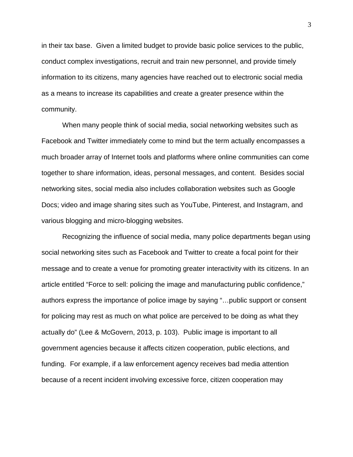in their tax base. Given a limited budget to provide basic police services to the public, conduct complex investigations, recruit and train new personnel, and provide timely information to its citizens, many agencies have reached out to electronic social media as a means to increase its capabilities and create a greater presence within the community.

When many people think of social media, social networking websites such as Facebook and Twitter immediately come to mind but the term actually encompasses a much broader array of Internet tools and platforms where online communities can come together to share information, ideas, personal messages, and content. Besides social networking sites, social media also includes collaboration websites such as Google Docs; video and image sharing sites such as YouTube, Pinterest, and Instagram, and various blogging and micro-blogging websites.

Recognizing the influence of social media, many police departments began using social networking sites such as Facebook and Twitter to create a focal point for their message and to create a venue for promoting greater interactivity with its citizens. In an article entitled "Force to sell: policing the image and manufacturing public confidence," authors express the importance of police image by saying "…public support or consent for policing may rest as much on what police are perceived to be doing as what they actually do" (Lee & McGovern, 2013, p. 103). Public image is important to all government agencies because it affects citizen cooperation, public elections, and funding. For example, if a law enforcement agency receives bad media attention because of a recent incident involving excessive force, citizen cooperation may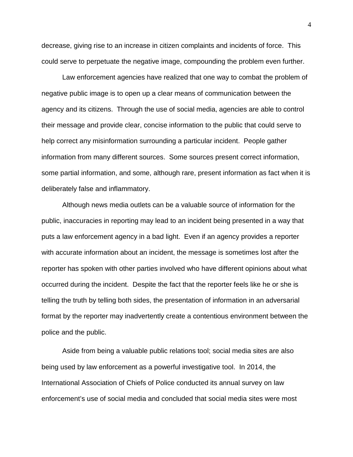decrease, giving rise to an increase in citizen complaints and incidents of force. This could serve to perpetuate the negative image, compounding the problem even further.

Law enforcement agencies have realized that one way to combat the problem of negative public image is to open up a clear means of communication between the agency and its citizens. Through the use of social media, agencies are able to control their message and provide clear, concise information to the public that could serve to help correct any misinformation surrounding a particular incident. People gather information from many different sources. Some sources present correct information, some partial information, and some, although rare, present information as fact when it is deliberately false and inflammatory.

Although news media outlets can be a valuable source of information for the public, inaccuracies in reporting may lead to an incident being presented in a way that puts a law enforcement agency in a bad light. Even if an agency provides a reporter with accurate information about an incident, the message is sometimes lost after the reporter has spoken with other parties involved who have different opinions about what occurred during the incident. Despite the fact that the reporter feels like he or she is telling the truth by telling both sides, the presentation of information in an adversarial format by the reporter may inadvertently create a contentious environment between the police and the public.

Aside from being a valuable public relations tool; social media sites are also being used by law enforcement as a powerful investigative tool. In 2014, the International Association of Chiefs of Police conducted its annual survey on law enforcement's use of social media and concluded that social media sites were most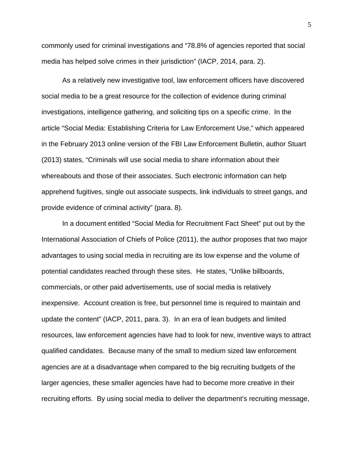commonly used for criminal investigations and "78.8% of agencies reported that social media has helped solve crimes in their jurisdiction" (IACP, 2014, para. 2).

As a relatively new investigative tool, law enforcement officers have discovered social media to be a great resource for the collection of evidence during criminal investigations, intelligence gathering, and soliciting tips on a specific crime. In the article "Social Media: Establishing Criteria for Law Enforcement Use," which appeared in the February 2013 online version of the FBI Law Enforcement Bulletin, author Stuart (2013) states, "Criminals will use social media to share information about their whereabouts and those of their associates. Such electronic information can help apprehend fugitives, single out associate suspects, link individuals to street gangs, and provide evidence of criminal activity" (para. 8).

In a document entitled "Social Media for Recruitment Fact Sheet" put out by the International Association of Chiefs of Police (2011), the author proposes that two major advantages to using social media in recruiting are its low expense and the volume of potential candidates reached through these sites. He states, "Unlike billboards, commercials, or other paid advertisements, use of social media is relatively inexpensive. Account creation is free, but personnel time is required to maintain and update the content" (IACP, 2011, para. 3). In an era of lean budgets and limited resources, law enforcement agencies have had to look for new, inventive ways to attract qualified candidates. Because many of the small to medium sized law enforcement agencies are at a disadvantage when compared to the big recruiting budgets of the larger agencies, these smaller agencies have had to become more creative in their recruiting efforts. By using social media to deliver the department's recruiting message,

5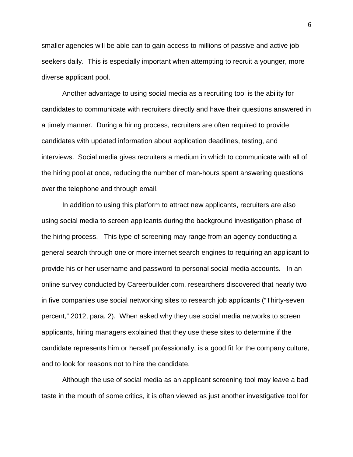smaller agencies will be able can to gain access to millions of passive and active job seekers daily. This is especially important when attempting to recruit a younger, more diverse applicant pool.

Another advantage to using social media as a recruiting tool is the ability for candidates to communicate with recruiters directly and have their questions answered in a timely manner. During a hiring process, recruiters are often required to provide candidates with updated information about application deadlines, testing, and interviews. Social media gives recruiters a medium in which to communicate with all of the hiring pool at once, reducing the number of man-hours spent answering questions over the telephone and through email.

In addition to using this platform to attract new applicants, recruiters are also using social media to screen applicants during the background investigation phase of the hiring process. This type of screening may range from an agency conducting a general search through one or more internet search engines to requiring an applicant to provide his or her username and password to personal social media accounts. In an online survey conducted by Careerbuilder.com, researchers discovered that nearly two in five companies use social networking sites to research job applicants ("Thirty-seven percent," 2012, para. 2). When asked why they use social media networks to screen applicants, hiring managers explained that they use these sites to determine if the candidate represents him or herself professionally, is a good fit for the company culture, and to look for reasons not to hire the candidate.

Although the use of social media as an applicant screening tool may leave a bad taste in the mouth of some critics, it is often viewed as just another investigative tool for

6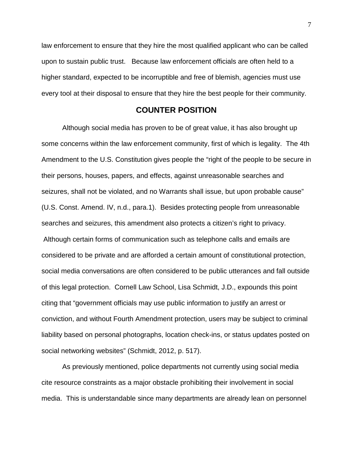law enforcement to ensure that they hire the most qualified applicant who can be called upon to sustain public trust. Because law enforcement officials are often held to a higher standard, expected to be incorruptible and free of blemish, agencies must use every tool at their disposal to ensure that they hire the best people for their community.

#### **COUNTER POSITION**

Although social media has proven to be of great value, it has also brought up some concerns within the law enforcement community, first of which is legality. The 4th Amendment to the U.S. Constitution gives people the "right of the people to be secure in their persons, houses, papers, and effects, against unreasonable searches and seizures, shall not be violated, and no Warrants shall issue, but upon probable cause" (U.S. Const. Amend. IV, n.d., para.1). Besides protecting people from unreasonable searches and seizures, this amendment also protects a citizen's right to privacy. Although certain forms of communication such as telephone calls and emails are considered to be private and are afforded a certain amount of constitutional protection, social media conversations are often considered to be public utterances and fall outside of this legal protection. Cornell Law School, Lisa Schmidt, J.D., expounds this point citing that "government officials may use public information to justify an arrest or conviction, and without Fourth Amendment protection, users may be subject to criminal liability based on personal photographs, location check-ins, or status updates posted on social networking websites" (Schmidt, 2012, p. 517).

As previously mentioned, police departments not currently using social media cite resource constraints as a major obstacle prohibiting their involvement in social media. This is understandable since many departments are already lean on personnel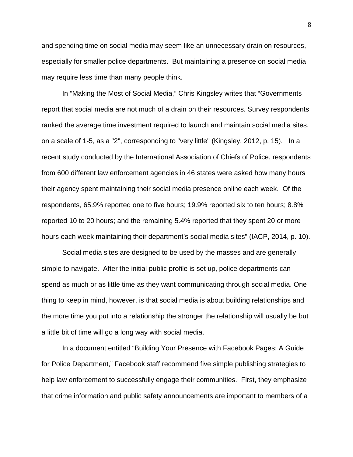and spending time on social media may seem like an unnecessary drain on resources, especially for smaller police departments. But maintaining a presence on social media may require less time than many people think.

In "Making the Most of Social Media," Chris Kingsley writes that "Governments report that social media are not much of a drain on their resources. Survey respondents ranked the average time investment required to launch and maintain social media sites, on a scale of 1-5, as a "2", corresponding to "very little" (Kingsley, 2012, p. 15). In a recent study conducted by the International Association of Chiefs of Police, respondents from 600 different law enforcement agencies in 46 states were asked how many hours their agency spent maintaining their social media presence online each week. Of the respondents, 65.9% reported one to five hours; 19.9% reported six to ten hours; 8.8% reported 10 to 20 hours; and the remaining 5.4% reported that they spent 20 or more hours each week maintaining their department's social media sites" (IACP, 2014, p. 10).

Social media sites are designed to be used by the masses and are generally simple to navigate. After the initial public profile is set up, police departments can spend as much or as little time as they want communicating through social media. One thing to keep in mind, however, is that social media is about building relationships and the more time you put into a relationship the stronger the relationship will usually be but a little bit of time will go a long way with social media.

In a document entitled "Building Your Presence with Facebook Pages: A Guide for Police Department," Facebook staff recommend five simple publishing strategies to help law enforcement to successfully engage their communities. First, they emphasize that crime information and public safety announcements are important to members of a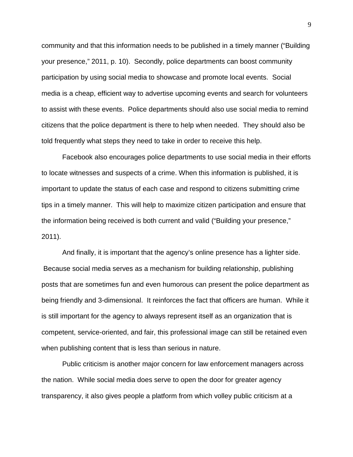community and that this information needs to be published in a timely manner ("Building your presence," 2011, p. 10). Secondly, police departments can boost community participation by using social media to showcase and promote local events. Social media is a cheap, efficient way to advertise upcoming events and search for volunteers to assist with these events. Police departments should also use social media to remind citizens that the police department is there to help when needed. They should also be told frequently what steps they need to take in order to receive this help.

Facebook also encourages police departments to use social media in their efforts to locate witnesses and suspects of a crime. When this information is published, it is important to update the status of each case and respond to citizens submitting crime tips in a timely manner. This will help to maximize citizen participation and ensure that the information being received is both current and valid ("Building your presence," 2011).

And finally, it is important that the agency's online presence has a lighter side. Because social media serves as a mechanism for building relationship, publishing posts that are sometimes fun and even humorous can present the police department as being friendly and 3-dimensional. It reinforces the fact that officers are human. While it is still important for the agency to always represent itself as an organization that is competent, service-oriented, and fair, this professional image can still be retained even when publishing content that is less than serious in nature.

Public criticism is another major concern for law enforcement managers across the nation. While social media does serve to open the door for greater agency transparency, it also gives people a platform from which volley public criticism at a

9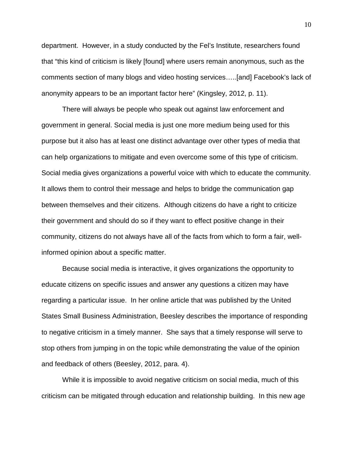department. However, in a study conducted by the Fel's Institute, researchers found that "this kind of criticism is likely [found] where users remain anonymous, such as the comments section of many blogs and video hosting services…..[and] Facebook's lack of anonymity appears to be an important factor here" (Kingsley, 2012, p. 11).

There will always be people who speak out against law enforcement and government in general. Social media is just one more medium being used for this purpose but it also has at least one distinct advantage over other types of media that can help organizations to mitigate and even overcome some of this type of criticism. Social media gives organizations a powerful voice with which to educate the community. It allows them to control their message and helps to bridge the communication gap between themselves and their citizens. Although citizens do have a right to criticize their government and should do so if they want to effect positive change in their community, citizens do not always have all of the facts from which to form a fair, wellinformed opinion about a specific matter.

Because social media is interactive, it gives organizations the opportunity to educate citizens on specific issues and answer any questions a citizen may have regarding a particular issue. In her online article that was published by the United States Small Business Administration, Beesley describes the importance of responding to negative criticism in a timely manner. She says that a timely response will serve to stop others from jumping in on the topic while demonstrating the value of the opinion and feedback of others (Beesley, 2012, para. 4).

While it is impossible to avoid negative criticism on social media, much of this criticism can be mitigated through education and relationship building. In this new age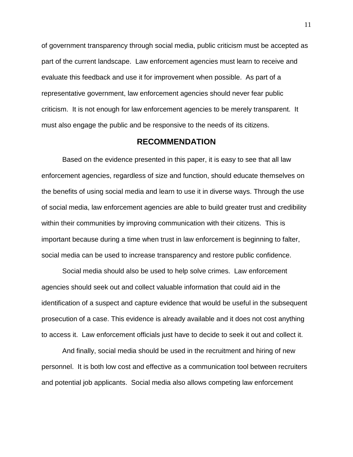of government transparency through social media, public criticism must be accepted as part of the current landscape. Law enforcement agencies must learn to receive and evaluate this feedback and use it for improvement when possible. As part of a representative government, law enforcement agencies should never fear public criticism. It is not enough for law enforcement agencies to be merely transparent. It must also engage the public and be responsive to the needs of its citizens.

#### **RECOMMENDATION**

Based on the evidence presented in this paper, it is easy to see that all law enforcement agencies, regardless of size and function, should educate themselves on the benefits of using social media and learn to use it in diverse ways. Through the use of social media, law enforcement agencies are able to build greater trust and credibility within their communities by improving communication with their citizens. This is important because during a time when trust in law enforcement is beginning to falter, social media can be used to increase transparency and restore public confidence.

Social media should also be used to help solve crimes. Law enforcement agencies should seek out and collect valuable information that could aid in the identification of a suspect and capture evidence that would be useful in the subsequent prosecution of a case. This evidence is already available and it does not cost anything to access it. Law enforcement officials just have to decide to seek it out and collect it.

And finally, social media should be used in the recruitment and hiring of new personnel. It is both low cost and effective as a communication tool between recruiters and potential job applicants. Social media also allows competing law enforcement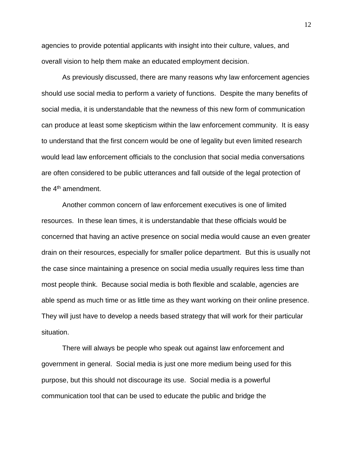agencies to provide potential applicants with insight into their culture, values, and overall vision to help them make an educated employment decision.

As previously discussed, there are many reasons why law enforcement agencies should use social media to perform a variety of functions. Despite the many benefits of social media, it is understandable that the newness of this new form of communication can produce at least some skepticism within the law enforcement community. It is easy to understand that the first concern would be one of legality but even limited research would lead law enforcement officials to the conclusion that social media conversations are often considered to be public utterances and fall outside of the legal protection of the 4<sup>th</sup> amendment.

Another common concern of law enforcement executives is one of limited resources. In these lean times, it is understandable that these officials would be concerned that having an active presence on social media would cause an even greater drain on their resources, especially for smaller police department. But this is usually not the case since maintaining a presence on social media usually requires less time than most people think. Because social media is both flexible and scalable, agencies are able spend as much time or as little time as they want working on their online presence. They will just have to develop a needs based strategy that will work for their particular situation.

There will always be people who speak out against law enforcement and government in general. Social media is just one more medium being used for this purpose, but this should not discourage its use. Social media is a powerful communication tool that can be used to educate the public and bridge the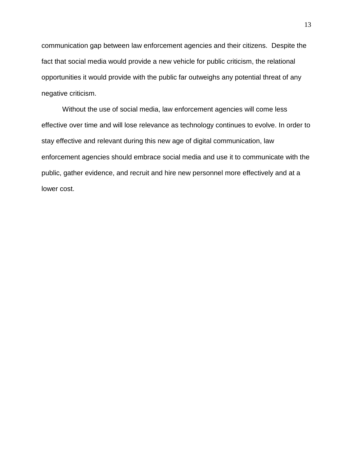communication gap between law enforcement agencies and their citizens. Despite the fact that social media would provide a new vehicle for public criticism, the relational opportunities it would provide with the public far outweighs any potential threat of any negative criticism.

Without the use of social media, law enforcement agencies will come less effective over time and will lose relevance as technology continues to evolve. In order to stay effective and relevant during this new age of digital communication, law enforcement agencies should embrace social media and use it to communicate with the public, gather evidence, and recruit and hire new personnel more effectively and at a lower cost.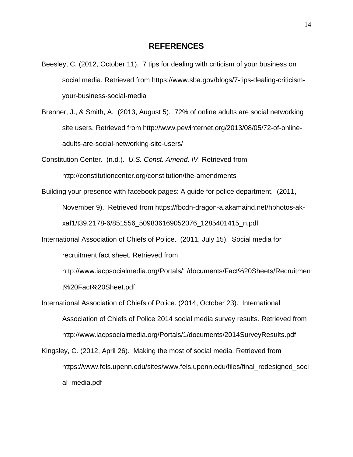- Beesley, C. (2012, October 11). 7 tips for dealing with criticism of your business on social media. Retrieved from https://www.sba.gov/blogs/7-tips-dealing-criticismyour-business-social-media
- Brenner, J., & Smith, A. (2013, August 5). 72% of online adults are social networking site users. Retrieved from http://www.pewinternet.org/2013/08/05/72-of-onlineadults-are-social-networking-site-users/

Constitution Center. (n.d*.*). *U.S. Const. Amend. IV*. Retrieved from <http://constitutioncenter.org/constitution/the-amendments>

Building your presence with facebook pages: A guide for police department. (2011,

November 9). Retrieved from https://fbcdn-dragon-a.akamaihd.net/hphotos-akxaf1/t39.2178-6/851556\_509836169052076\_1285401415\_n.pdf

International Association of Chiefs of Police. (2011, July 15). Social media for recruitment fact sheet. Retrieved from

http://www.iacpsocialmedia.org/Portals/1/documents/Fact%20Sheets/Recruitmen t%20Fact%20Sheet.pdf

International Association of Chiefs of Police. (2014, October 23). International Association of Chiefs of Police 2014 social media survey results. Retrieved from http://www.iacpsocialmedia.org/Portals/1/documents/2014SurveyResults.pdf

Kingsley, C. (2012, April 26). Making the most of social media. Retrieved from https://www.fels.upenn.edu/sites/www.fels.upenn.edu/files/final\_redesigned\_soci al\_media.pdf